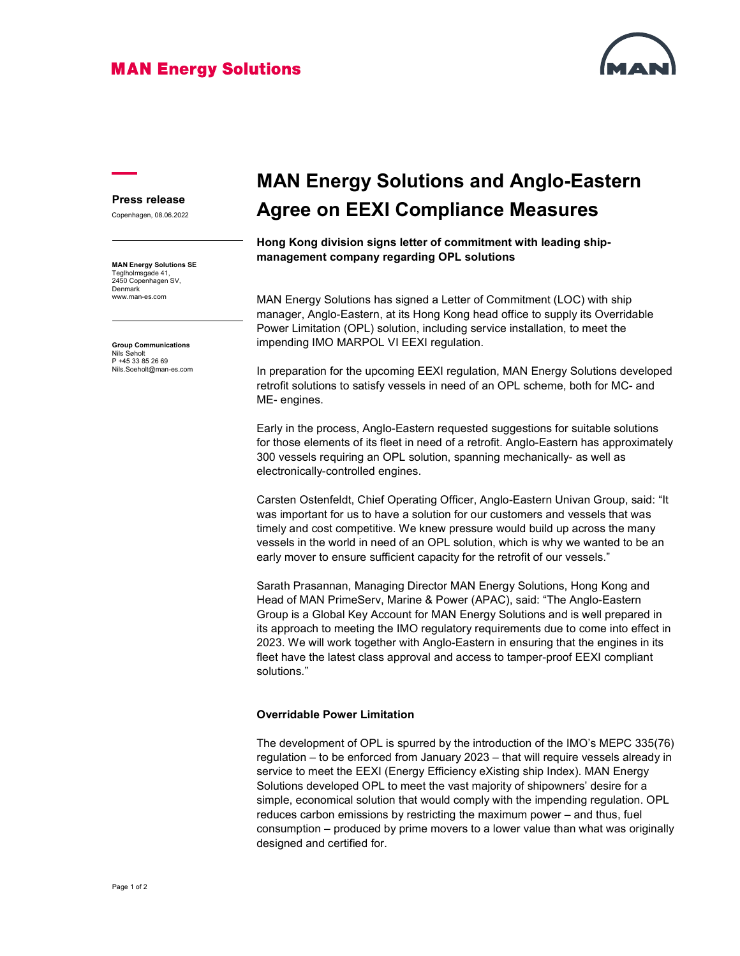### **MAN Energy Solutions**



#### Press release

Copenhagen, 08.06.2022

MAN Energy Solutions SE Teglholmsgade 41, 2450 Copenhagen SV, Denmark www.man-es.com

Group Communications Nils Søholt<br>P +45 33 85 26 69 Nils.Soeholt@man-es.com

# MAN Energy Solutions and Anglo-Eastern Agree on EEXI Compliance Measures

Hong Kong division signs letter of commitment with leading shipmanagement company regarding OPL solutions

MAN Energy Solutions has signed a Letter of Commitment (LOC) with ship manager, Anglo-Eastern, at its Hong Kong head office to supply its Overridable Power Limitation (OPL) solution, including service installation, to meet the impending IMO MARPOL VI EEXI regulation.

In preparation for the upcoming EEXI regulation, MAN Energy Solutions developed retrofit solutions to satisfy vessels in need of an OPL scheme, both for MC- and ME- engines.

Early in the process, Anglo-Eastern requested suggestions for suitable solutions for those elements of its fleet in need of a retrofit. Anglo-Eastern has approximately 300 vessels requiring an OPL solution, spanning mechanically- as well as electronically-controlled engines.

Carsten Ostenfeldt, Chief Operating Officer, Anglo-Eastern Univan Group, said: "It was important for us to have a solution for our customers and vessels that was timely and cost competitive. We knew pressure would build up across the many vessels in the world in need of an OPL solution, which is why we wanted to be an early mover to ensure sufficient capacity for the retrofit of our vessels."

Sarath Prasannan, Managing Director MAN Energy Solutions, Hong Kong and Head of MAN PrimeServ, Marine & Power (APAC), said: "The Anglo-Eastern Group is a Global Key Account for MAN Energy Solutions and is well prepared in its approach to meeting the IMO regulatory requirements due to come into effect in 2023. We will work together with Anglo-Eastern in ensuring that the engines in its fleet have the latest class approval and access to tamper-proof EEXI compliant solutions."

#### Overridable Power Limitation

The development of OPL is spurred by the introduction of the IMO's MEPC 335(76) regulation – to be enforced from January 2023 – that will require vessels already in service to meet the EEXI (Energy Efficiency eXisting ship Index). MAN Energy Solutions developed OPL to meet the vast majority of shipowners' desire for a simple, economical solution that would comply with the impending regulation. OPL reduces carbon emissions by restricting the maximum power – and thus, fuel consumption – produced by prime movers to a lower value than what was originally designed and certified for.